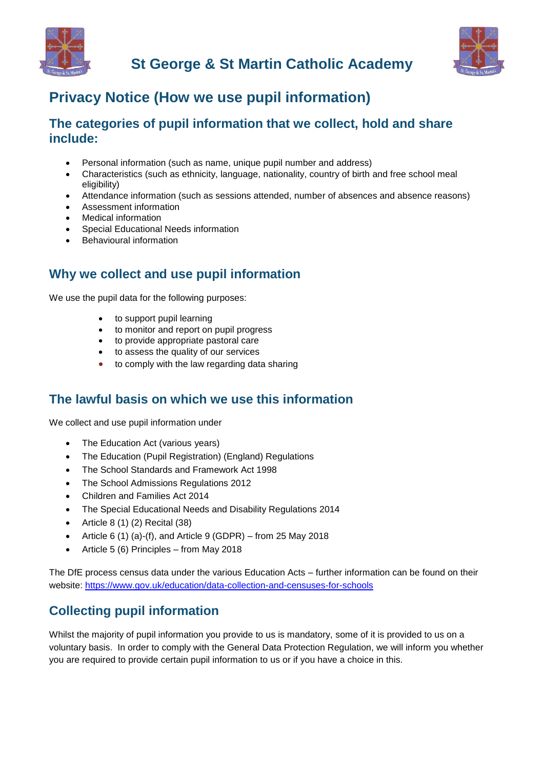



# **Privacy Notice (How we use pupil information)**

### **The categories of pupil information that we collect, hold and share include:**

- Personal information (such as name, unique pupil number and address)
- Characteristics (such as ethnicity, language, nationality, country of birth and free school meal eligibility)
- Attendance information (such as sessions attended, number of absences and absence reasons)
- Assessment information
- Medical information
- Special Educational Needs information
- Behavioural information

### **Why we collect and use pupil information**

We use the pupil data for the following purposes:

- to support pupil learning
- to monitor and report on pupil progress
- to provide appropriate pastoral care
- to assess the quality of our services
- to comply with the law regarding data sharing

### **The lawful basis on which we use this information**

We collect and use pupil information under

- The Education Act (various years)
- The Education (Pupil Registration) (England) Regulations
- The School Standards and Framework Act 1998
- The School Admissions Regulations 2012
- Children and Families Act 2014
- The Special Educational Needs and Disability Regulations 2014
- Article 8 (1) (2) Recital (38)
- Article 6 (1) (a)-(f), and Article 9 (GDPR) from 25 May 2018
- Article 5 (6) Principles from May 2018

The DfE process census data under the various Education Acts – further information can be found on their website:<https://www.gov.uk/education/data-collection-and-censuses-for-schools>

## **Collecting pupil information**

Whilst the majority of pupil information you provide to us is mandatory, some of it is provided to us on a voluntary basis. In order to comply with the General Data Protection Regulation, we will inform you whether you are required to provide certain pupil information to us or if you have a choice in this.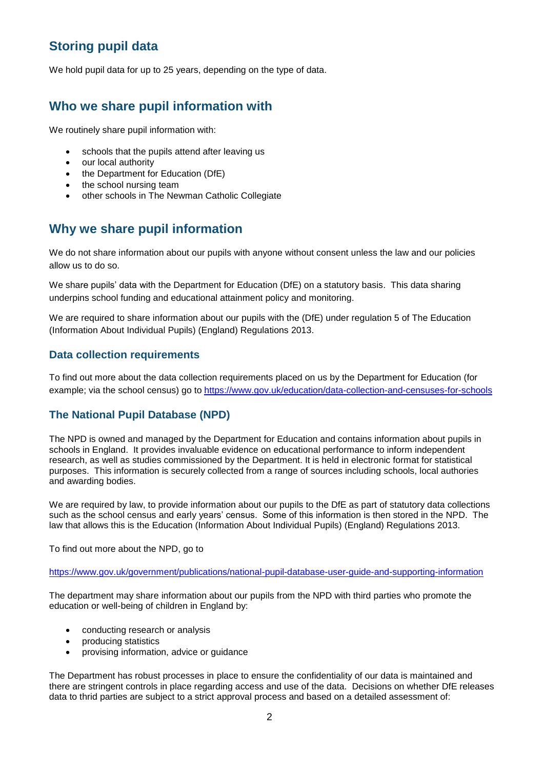# **Storing pupil data**

We hold pupil data for up to 25 years, depending on the type of data.

### **Who we share pupil information with**

We routinely share pupil information with:

- schools that the pupils attend after leaving us
- our local authority
- the Department for Education (DfE)
- the school nursing team
- other schools in The Newman Catholic Collegiate

### **Why we share pupil information**

We do not share information about our pupils with anyone without consent unless the law and our policies allow us to do so.

We share pupils' data with the Department for Education (DfE) on a statutory basis. This data sharing underpins school funding and educational attainment policy and monitoring.

We are required to share information about our pupils with the (DfE) under requlation 5 of The Education (Information About Individual Pupils) (England) Regulations 2013.

#### **Data collection requirements**

To find out more about the data collection requirements placed on us by the Department for Education (for example; via the school census) go to <https://www.gov.uk/education/data-collection-and-censuses-for-schools>

#### **The National Pupil Database (NPD)**

The NPD is owned and managed by the Department for Education and contains information about pupils in schools in England. It provides invaluable evidence on educational performance to inform independent research, as well as studies commissioned by the Department. It is held in electronic format for statistical purposes. This information is securely collected from a range of sources including schools, local authories and awarding bodies.

We are required by law, to provide information about our pupils to the DfE as part of statutory data collections such as the school census and early years' census. Some of this information is then stored in the NPD. The law that allows this is the Education (Information About Individual Pupils) (England) Regulations 2013.

To find out more about the NPD, go to

<https://www.gov.uk/government/publications/national-pupil-database-user-guide-and-supporting-information>

The department may share information about our pupils from the NPD with third parties who promote the education or well-being of children in England by:

- conducting research or analysis
- producing statistics
- provising information, advice or guidance

The Department has robust processes in place to ensure the confidentiality of our data is maintained and there are stringent controls in place regarding access and use of the data. Decisions on whether DfE releases data to thrid parties are subject to a strict approval process and based on a detailed assessment of: